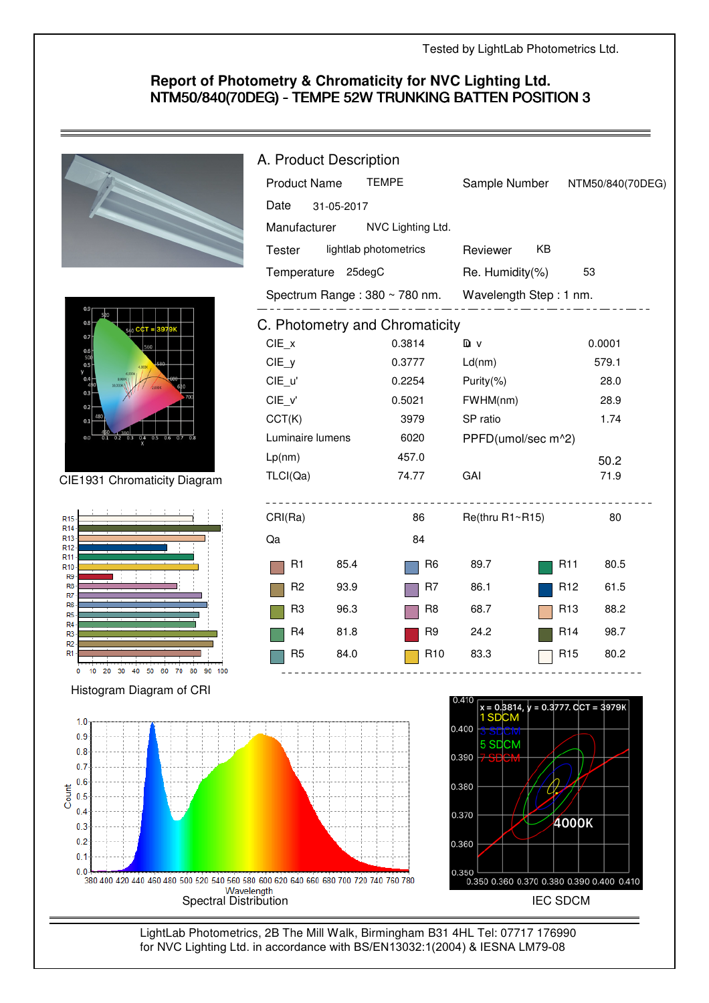## **Report of Photometry & Chromaticity for NVC Lighting Ltd.** NTM50/840(70DEG) - TEMPE 52W TRUNKING BATTEN POSITION 3

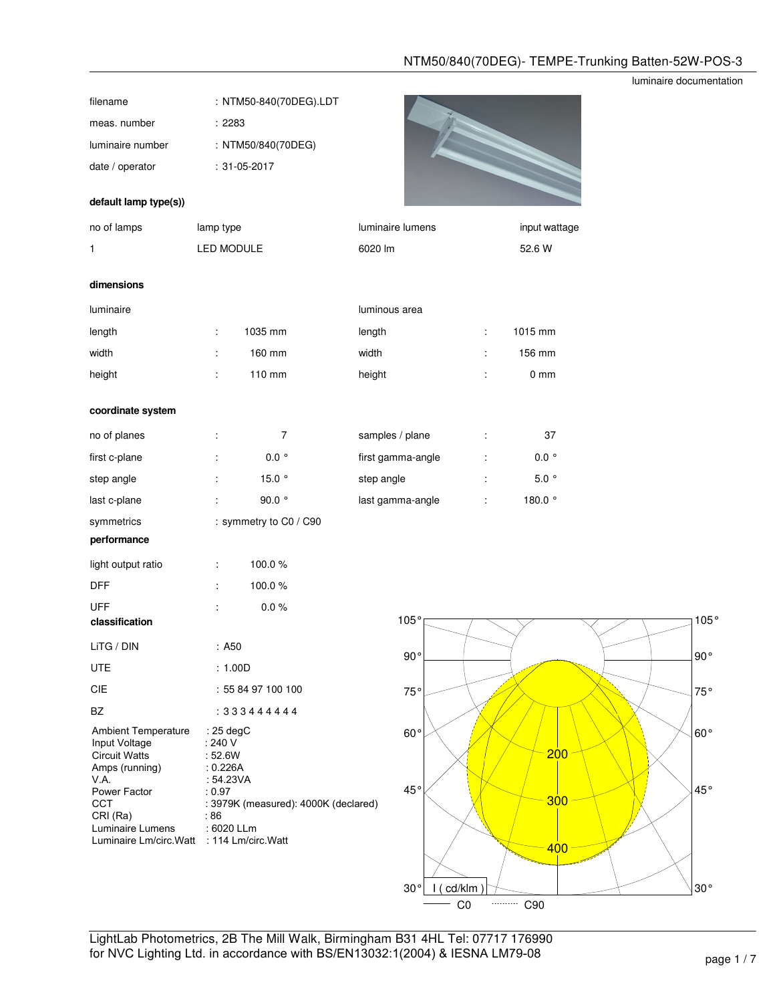## luminaire documentation

| filename                                                                                                                                                                                                 |                                                                                             | : NTM50-840(70DEG).LDT               |       |                       |    |                  |
|----------------------------------------------------------------------------------------------------------------------------------------------------------------------------------------------------------|---------------------------------------------------------------------------------------------|--------------------------------------|-------|-----------------------|----|------------------|
| meas. number                                                                                                                                                                                             | : 2283                                                                                      |                                      |       |                       |    |                  |
| luminaire number                                                                                                                                                                                         |                                                                                             | : NTM50/840(70DEG)                   |       |                       |    |                  |
| date / operator                                                                                                                                                                                          |                                                                                             | $: 31 - 05 - 2017$                   |       |                       |    |                  |
| default lamp type(s))                                                                                                                                                                                    |                                                                                             |                                      |       |                       |    |                  |
| no of lamps                                                                                                                                                                                              | lamp type                                                                                   |                                      |       | luminaire lumens      |    | input wattage    |
| 1                                                                                                                                                                                                        | LED MODULE                                                                                  |                                      |       | 6020 lm               |    | 52.6 W           |
| dimensions                                                                                                                                                                                               |                                                                                             |                                      |       |                       |    |                  |
| luminaire                                                                                                                                                                                                |                                                                                             |                                      |       | luminous area         |    |                  |
| length                                                                                                                                                                                                   | ÷                                                                                           | 1035 mm                              |       | length                | t  | 1015 mm          |
| width                                                                                                                                                                                                    |                                                                                             | 160 mm                               | width |                       |    | 156 mm           |
| height                                                                                                                                                                                                   |                                                                                             | 110 mm                               |       | height                |    | 0 <sub>mm</sub>  |
| coordinate system                                                                                                                                                                                        |                                                                                             |                                      |       |                       |    |                  |
| no of planes                                                                                                                                                                                             | Î.                                                                                          | 7                                    |       | samples / plane       | ÷  | 37               |
| first c-plane                                                                                                                                                                                            |                                                                                             | $0.0\degree$                         |       | first gamma-angle     | Î. | $0.0~^{\circ}$   |
| step angle                                                                                                                                                                                               |                                                                                             | 15.0 $\degree$                       |       | step angle            |    | $5.0$ $^{\circ}$ |
| last c-plane                                                                                                                                                                                             | t.                                                                                          | 90.0 $^{\circ}$                      |       | last gamma-angle      | ÷  | 180.0 $^{\circ}$ |
| symmetrics<br>performance                                                                                                                                                                                |                                                                                             | : symmetry to C0 / C90               |       |                       |    |                  |
| light output ratio                                                                                                                                                                                       | ÷                                                                                           | 100.0%                               |       |                       |    |                  |
| DFF                                                                                                                                                                                                      |                                                                                             | 100.0%                               |       |                       |    |                  |
| <b>UFF</b><br>classification                                                                                                                                                                             |                                                                                             | $0.0 \%$                             |       | 105°                  |    |                  |
| LiTG / DIN                                                                                                                                                                                               | : A50                                                                                       |                                      |       |                       |    |                  |
| <b>UTE</b>                                                                                                                                                                                               | : 1.00D                                                                                     |                                      |       | $90^{\circ}$          |    |                  |
| CIE                                                                                                                                                                                                      |                                                                                             | : 55 84 97 100 100                   |       | 75°                   |    |                  |
| <b>BZ</b>                                                                                                                                                                                                |                                                                                             | : 333444444                          |       |                       |    |                  |
| <b>Ambient Temperature</b><br>Input Voltage<br><b>Circuit Watts</b><br>Amps (running)<br>V.A.<br>Power Factor<br><b>CCT</b><br>CRI (Ra)<br>Luminaire Lumens<br>Luminaire Lm/circ.Watt : 114 Lm/circ.Watt | : 25 deg $C$<br>: 240 V<br>: 52.6W<br>: 0.226A<br>: 54.23VA<br>: 0.97<br>: 86<br>: 6020 LLm | : 3979K (measured): 4000K (declared) |       | $60^{\,\circ}$<br>45° |    | 200<br>300       |
|                                                                                                                                                                                                          |                                                                                             |                                      |       |                       |    | 400              |



LightLab Photometrics, 2B The Mill Walk, Birmingham B31 4HL Tel: 07717 176990 for NVC Lighting Ltd. in accordance with BS/EN13032:1(2004) & IESNA LM79-08 page 1 / 7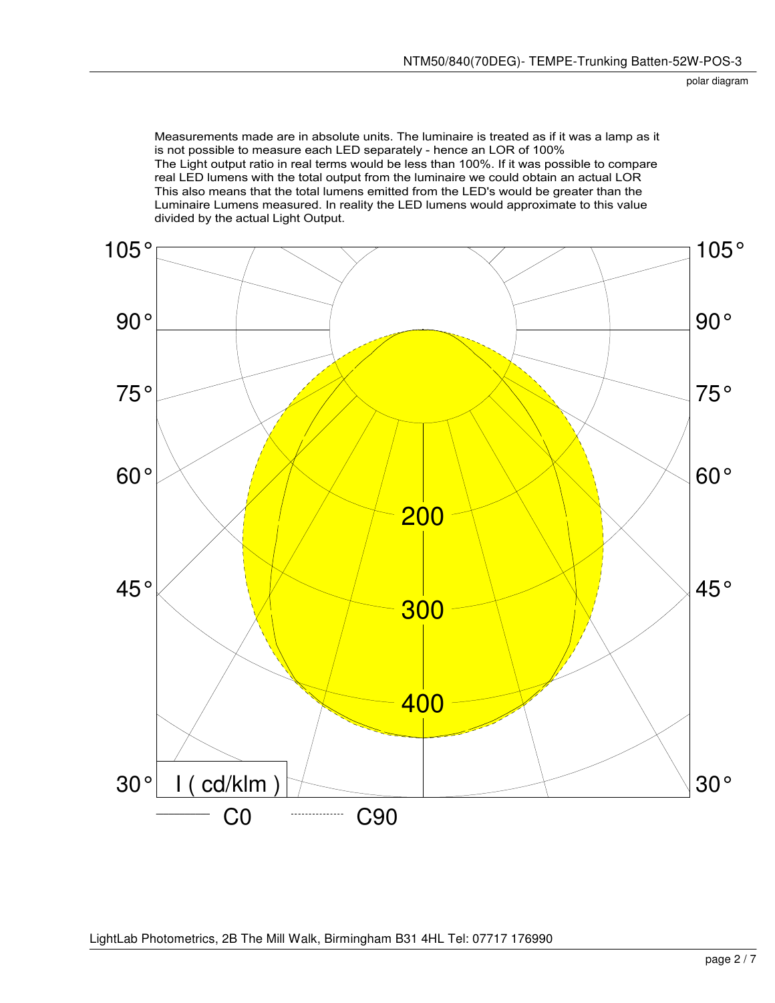Measurements made are in absolute units. The luminaire is treated as if it was a lamp as it is not possible to measure each LED separately - hence an LOR of 100% The Light output ratio in real terms would be less than 100%. If it was possible to compare real LED lumens with the total output from the luminaire we could obtain an actual LOR This also means that the total lumens emitted from the LED's would be greater than the Luminaire Lumens measured. In reality the LED lumens would approximate to this value divided by the actual Light Output.

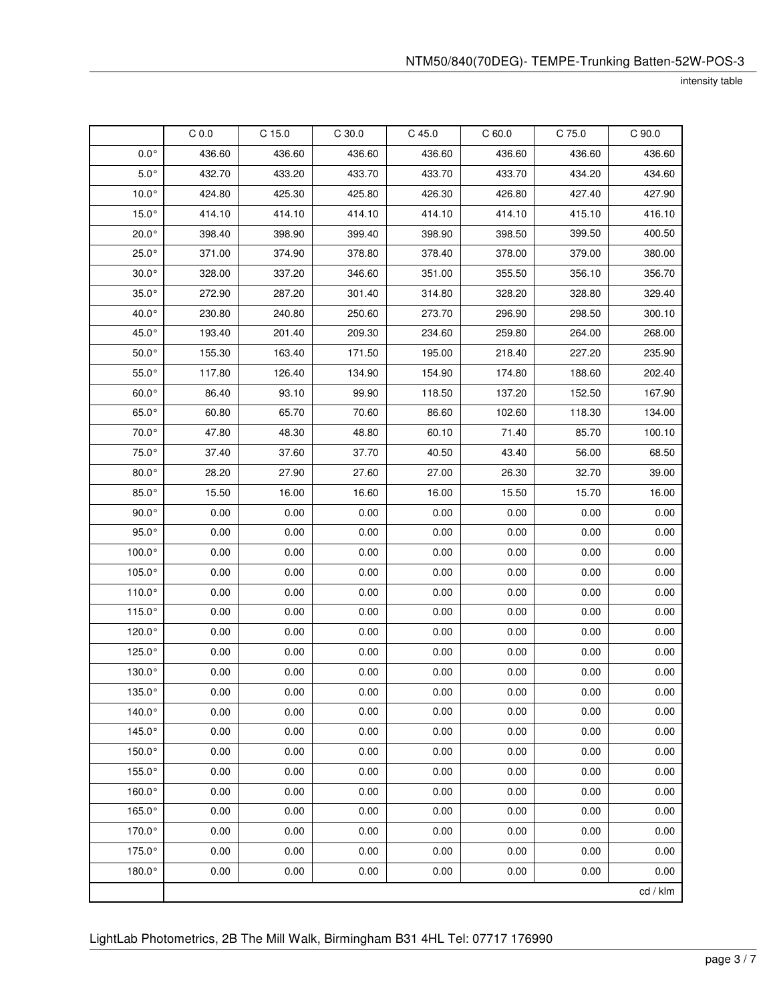intensity table

|                 | C <sub>0.0</sub> | C 15.0 | $C$ 30.0 | C 45.0 | C60.0  | C 75.0 | C 90.0   |
|-----------------|------------------|--------|----------|--------|--------|--------|----------|
| $0.0^\circ$     | 436.60           | 436.60 | 436.60   | 436.60 | 436.60 | 436.60 | 436.60   |
| $5.0^{\circ}$   | 432.70           | 433.20 | 433.70   | 433.70 | 433.70 | 434.20 | 434.60   |
| $10.0^\circ$    | 424.80           | 425.30 | 425.80   | 426.30 | 426.80 | 427.40 | 427.90   |
| $15.0^\circ$    | 414.10           | 414.10 | 414.10   | 414.10 | 414.10 | 415.10 | 416.10   |
| $20.0^\circ$    | 398.40           | 398.90 | 399.40   | 398.90 | 398.50 | 399.50 | 400.50   |
| $25.0^\circ$    | 371.00           | 374.90 | 378.80   | 378.40 | 378.00 | 379.00 | 380.00   |
| $30.0^\circ$    | 328.00           | 337.20 | 346.60   | 351.00 | 355.50 | 356.10 | 356.70   |
| $35.0^\circ$    | 272.90           | 287.20 | 301.40   | 314.80 | 328.20 | 328.80 | 329.40   |
| 40.0°           | 230.80           | 240.80 | 250.60   | 273.70 | 296.90 | 298.50 | 300.10   |
| 45.0°           | 193.40           | 201.40 | 209.30   | 234.60 | 259.80 | 264.00 | 268.00   |
| $50.0^\circ$    | 155.30           | 163.40 | 171.50   | 195.00 | 218.40 | 227.20 | 235.90   |
| $55.0^{\circ}$  | 117.80           | 126.40 | 134.90   | 154.90 | 174.80 | 188.60 | 202.40   |
| $60.0^\circ$    | 86.40            | 93.10  | 99.90    | 118.50 | 137.20 | 152.50 | 167.90   |
| $65.0^\circ$    | 60.80            | 65.70  | 70.60    | 86.60  | 102.60 | 118.30 | 134.00   |
| $70.0^\circ$    | 47.80            | 48.30  | 48.80    | 60.10  | 71.40  | 85.70  | 100.10   |
| $75.0^\circ$    | 37.40            | 37.60  | 37.70    | 40.50  | 43.40  | 56.00  | 68.50    |
| $80.0^\circ$    | 28.20            | 27.90  | 27.60    | 27.00  | 26.30  | 32.70  | 39.00    |
| $85.0^\circ$    | 15.50            | 16.00  | 16.60    | 16.00  | 15.50  | 15.70  | 16.00    |
| $90.0^{\circ}$  | 0.00             | 0.00   | 0.00     | 0.00   | 0.00   | 0.00   | 0.00     |
| $95.0^{\circ}$  | 0.00             | 0.00   | 0.00     | 0.00   | 0.00   | 0.00   | 0.00     |
| 100.0°          | 0.00             | 0.00   | 0.00     | 0.00   | 0.00   | 0.00   | 0.00     |
| 105.0°          | 0.00             | 0.00   | 0.00     | 0.00   | 0.00   | 0.00   | 0.00     |
| 110.0°          | 0.00             | 0.00   | 0.00     | 0.00   | 0.00   | 0.00   | 0.00     |
| 115.0°          | 0.00             | 0.00   | 0.00     | 0.00   | 0.00   | 0.00   | 0.00     |
| 120.0°          | 0.00             | 0.00   | 0.00     | 0.00   | 0.00   | 0.00   | 0.00     |
| 125.0°          | 0.00             | 0.00   | 0.00     | 0.00   | 0.00   | 0.00   | 0.00     |
| $130.0^{\circ}$ | 0.00             | 0.00   | 0.00     | 0.00   | 0.00   | 0.00   | 0.00     |
| 135.0°          | 0.00             | 0.00   | 0.00     | 0.00   | 0.00   | 0.00   | 0.00     |
| 140.0°          | 0.00             | 0.00   | 0.00     | 0.00   | 0.00   | 0.00   | 0.00     |
| 145.0°          | 0.00             | 0.00   | 0.00     | 0.00   | 0.00   | 0.00   | 0.00     |
| $150.0^\circ$   | 0.00             | 0.00   | 0.00     | 0.00   | 0.00   | 0.00   | 0.00     |
| 155.0°          | 0.00             | 0.00   | 0.00     | 0.00   | 0.00   | 0.00   | 0.00     |
| 160.0°          | 0.00             | 0.00   | 0.00     | 0.00   | 0.00   | 0.00   | 0.00     |
| 165.0°          | 0.00             | 0.00   | 0.00     | 0.00   | 0.00   | 0.00   | 0.00     |
| 170.0°          | 0.00             | 0.00   | 0.00     | 0.00   | 0.00   | 0.00   | 0.00     |
| 175.0°          | 0.00             | 0.00   | 0.00     | 0.00   | 0.00   | 0.00   | 0.00     |
| 180.0°          | 0.00             | 0.00   | 0.00     | 0.00   | 0.00   | 0.00   | 0.00     |
|                 |                  |        |          |        |        |        | cd / klm |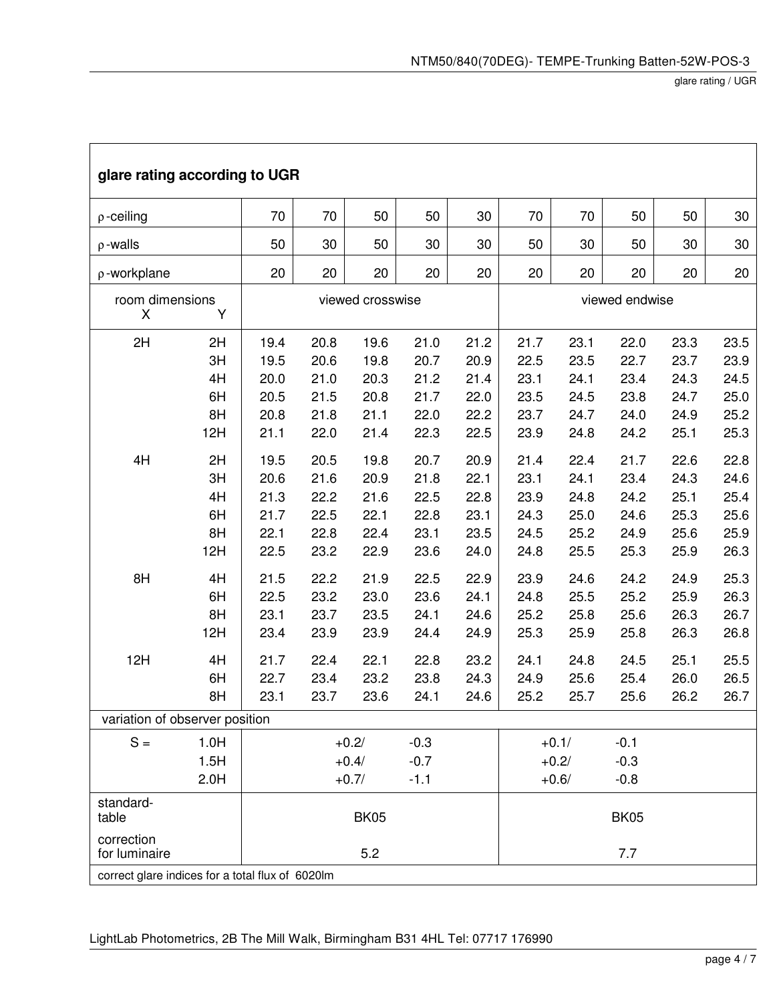glare rating / UGR

| glare rating according to UGR                     |                                   |                                              |                                              |                                              |                                              |                                              |                                              |                                              |                                              |                                              |                                              |
|---------------------------------------------------|-----------------------------------|----------------------------------------------|----------------------------------------------|----------------------------------------------|----------------------------------------------|----------------------------------------------|----------------------------------------------|----------------------------------------------|----------------------------------------------|----------------------------------------------|----------------------------------------------|
| $\rho$ -ceiling                                   |                                   | 70                                           | 70                                           | 50                                           | 50                                           | 30                                           | 70                                           | 70                                           | 50                                           | 50                                           | 30                                           |
| $\rho$ -walls                                     |                                   | 50                                           | 30                                           | 50                                           | 30                                           | 30                                           | 50                                           | 30                                           | 50                                           | 30                                           | 30                                           |
| p-workplane                                       |                                   | 20                                           | 20                                           | 20                                           | 20                                           | 20                                           | 20                                           | 20                                           | 20                                           | 20                                           | 20                                           |
| room dimensions<br>X                              |                                   | viewed crosswise                             | viewed endwise                               |                                              |                                              |                                              |                                              |                                              |                                              |                                              |                                              |
| 2H                                                | 2H<br>3H<br>4H<br>6H<br>8H<br>12H | 19.4<br>19.5<br>20.0<br>20.5<br>20.8<br>21.1 | 20.8<br>20.6<br>21.0<br>21.5<br>21.8<br>22.0 | 19.6<br>19.8<br>20.3<br>20.8<br>21.1<br>21.4 | 21.0<br>20.7<br>21.2<br>21.7<br>22.0<br>22.3 | 21.2<br>20.9<br>21.4<br>22.0<br>22.2<br>22.5 | 21.7<br>22.5<br>23.1<br>23.5<br>23.7<br>23.9 | 23.1<br>23.5<br>24.1<br>24.5<br>24.7<br>24.8 | 22.0<br>22.7<br>23.4<br>23.8<br>24.0<br>24.2 | 23.3<br>23.7<br>24.3<br>24.7<br>24.9<br>25.1 | 23.5<br>23.9<br>24.5<br>25.0<br>25.2<br>25.3 |
| 4H                                                | 2H<br>3H<br>4H<br>6H<br>8H<br>12H | 19.5<br>20.6<br>21.3<br>21.7<br>22.1<br>22.5 | 20.5<br>21.6<br>22.2<br>22.5<br>22.8<br>23.2 | 19.8<br>20.9<br>21.6<br>22.1<br>22.4<br>22.9 | 20.7<br>21.8<br>22.5<br>22.8<br>23.1<br>23.6 | 20.9<br>22.1<br>22.8<br>23.1<br>23.5<br>24.0 | 21.4<br>23.1<br>23.9<br>24.3<br>24.5<br>24.8 | 22.4<br>24.1<br>24.8<br>25.0<br>25.2<br>25.5 | 21.7<br>23.4<br>24.2<br>24.6<br>24.9<br>25.3 | 22.6<br>24.3<br>25.1<br>25.3<br>25.6<br>25.9 | 22.8<br>24.6<br>25.4<br>25.6<br>25.9<br>26.3 |
| 8H                                                | 4H<br>6H<br>8H<br>12H             | 21.5<br>22.5<br>23.1<br>23.4                 | 22.2<br>23.2<br>23.7<br>23.9                 | 21.9<br>23.0<br>23.5<br>23.9                 | 22.5<br>23.6<br>24.1<br>24.4                 | 22.9<br>24.1<br>24.6<br>24.9                 | 23.9<br>24.8<br>25.2<br>25.3                 | 24.6<br>25.5<br>25.8<br>25.9                 | 24.2<br>25.2<br>25.6<br>25.8                 | 24.9<br>25.9<br>26.3<br>26.3                 | 25.3<br>26.3<br>26.7<br>26.8                 |
| 12H                                               | 4H<br>6H<br>8H                    | 21.7<br>22.7<br>23.1                         | 22.4<br>23.4<br>23.7                         | 22.1<br>23.2<br>23.6                         | 22.8<br>23.8<br>24.1                         | 23.2<br>24.3<br>24.6                         | 24.1<br>24.9<br>25.2                         | 24.8<br>25.6<br>25.7                         | 24.5<br>25.4<br>25.6                         | 25.1<br>26.0<br>26.2                         | 25.5<br>26.5<br>26.7                         |
| variation of observer position                    |                                   |                                              |                                              |                                              |                                              |                                              |                                              |                                              |                                              |                                              |                                              |
| $S =$                                             | 1.0H<br>1.5H<br>2.0H              |                                              |                                              | $+0.2/$<br>$+0.4/$<br>$+0.7/$                | $-0.3$<br>$-0.7$<br>$-1.1$                   |                                              |                                              | $+0.1/$<br>$+0.2/$<br>$+0.6/$                | $-0.1$<br>$-0.3$<br>$-0.8$                   |                                              |                                              |
| standard-<br>table<br>correction<br>for luminaire |                                   | <b>BK05</b><br><b>BK05</b><br>5.2<br>7.7     |                                              |                                              |                                              |                                              |                                              |                                              |                                              |                                              |                                              |
| correct glare indices for a total flux of 6020lm  |                                   |                                              |                                              |                                              |                                              |                                              |                                              |                                              |                                              |                                              |                                              |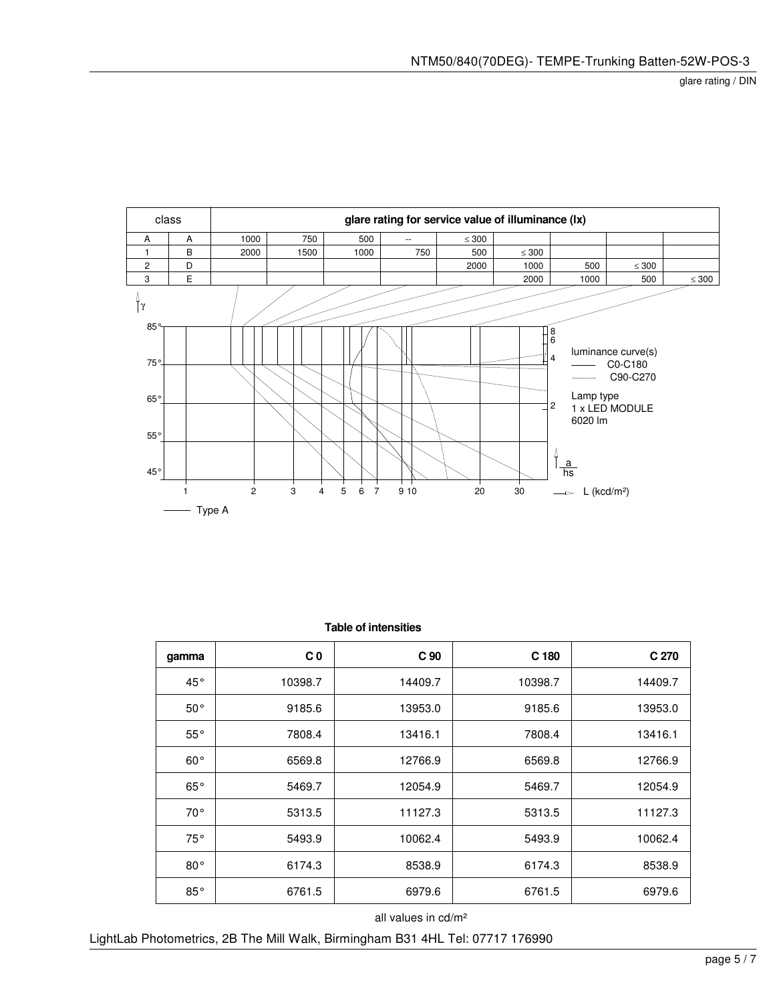

| gamma        | C <sub>0</sub> | C <sub>90</sub> | C <sub>180</sub> | C 270   |
|--------------|----------------|-----------------|------------------|---------|
| 45°          | 10398.7        | 14409.7         | 10398.7          | 14409.7 |
| $50^{\circ}$ | 9185.6         | 13953.0         | 9185.6           | 13953.0 |
| $55^{\circ}$ | 7808.4         | 13416.1         | 7808.4           | 13416.1 |
| $60^{\circ}$ | 6569.8         | 12766.9         | 6569.8           | 12766.9 |
| $65^{\circ}$ | 5469.7         | 12054.9         | 5469.7           | 12054.9 |
| $70^{\circ}$ | 5313.5         | 11127.3         | 5313.5           | 11127.3 |
| 75°          | 5493.9         | 10062.4         | 5493.9           | 10062.4 |
| $80^{\circ}$ | 6174.3         | 8538.9          | 6174.3           | 8538.9  |
| $85^{\circ}$ | 6761.5         | 6979.6          | 6761.5           | 6979.6  |

 **Table of intensities**

all values in cd/m²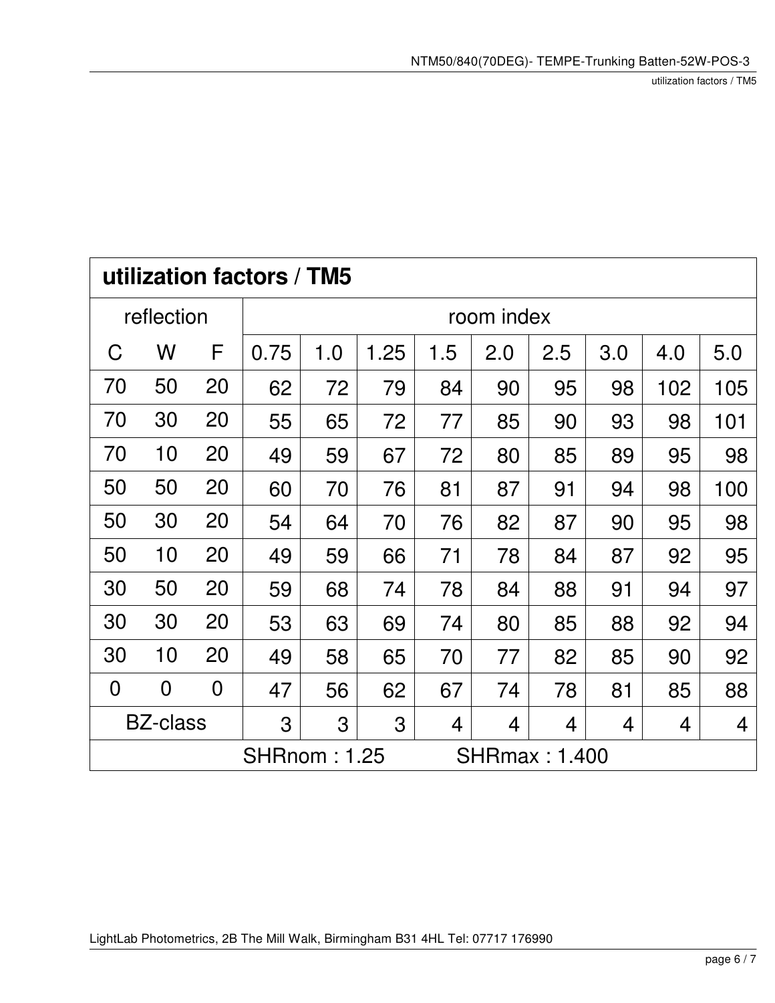utilization factors / TM5

| utilization factors / TM5                                            |                |                |            |     |      |     |     |                |     |     |     |
|----------------------------------------------------------------------|----------------|----------------|------------|-----|------|-----|-----|----------------|-----|-----|-----|
|                                                                      | reflection     |                | room index |     |      |     |     |                |     |     |     |
| C                                                                    | W              | F              | 0.75       | 1.0 | 1.25 | 1.5 | 2.0 | 2.5            | 3.0 | 4.0 | 5.0 |
| 70                                                                   | 50             | 20             | 62         | 72  | 79   | 84  | 90  | 95             | 98  | 102 | 105 |
| 70                                                                   | 30             | 20             | 55         | 65  | 72   | 77  | 85  | 90             | 93  | 98  | 101 |
| 70                                                                   | 10             | 20             | 49         | 59  | 67   | 72  | 80  | 85             | 89  | 95  | 98  |
| 50                                                                   | 50             | 20             | 60         | 70  | 76   | 81  | 87  | 91             | 94  | 98  | 100 |
| 50                                                                   | 30             | 20             | 54         | 64  | 70   | 76  | 82  | 87             | 90  | 95  | 98  |
| 50                                                                   | 10             | 20             | 49         | 59  | 66   | 71  | 78  | 84             | 87  | 92  | 95  |
| 30                                                                   | 50             | 20             | 59         | 68  | 74   | 78  | 84  | 88             | 91  | 94  | 97  |
| 30                                                                   | 30             | 20             | 53         | 63  | 69   | 74  | 80  | 85             | 88  | 92  | 94  |
| 30                                                                   | 10             | 20             | 49         | 58  | 65   | 70  | 77  | 82             | 85  | 90  | 92  |
| $\overline{0}$                                                       | $\overline{0}$ | $\overline{0}$ | 47         | 56  | 62   | 67  | 74  | 78             | 81  | 85  | 88  |
| <b>BZ-class</b><br>3<br>3<br>3<br>4<br>4<br>$\overline{4}$<br>4<br>4 |                |                |            |     |      |     |     | $\overline{4}$ |     |     |     |
| <b>SHRnom: 1.25</b><br><b>SHRmax: 1.400</b>                          |                |                |            |     |      |     |     |                |     |     |     |